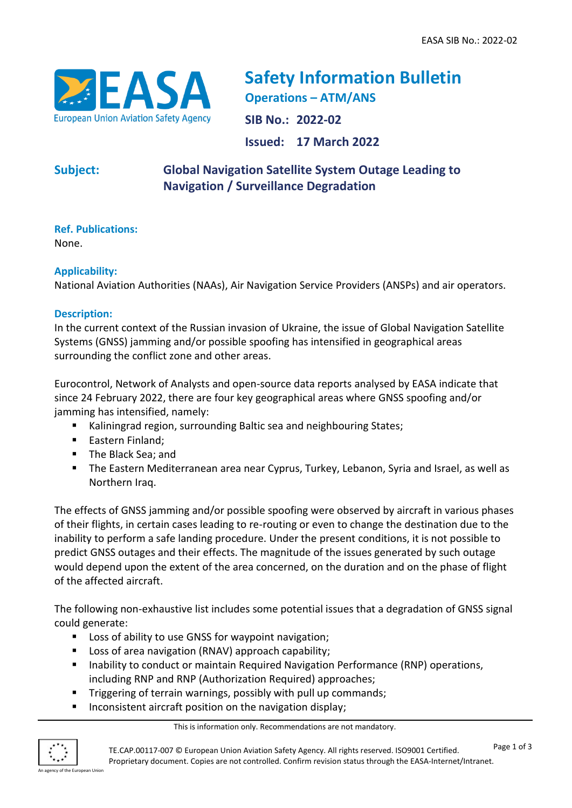

**Safety Information Bulletin Operations – ATM/ANS SIB No.: 2022-02 Issued: 17 March 2022**

# **Subject: Global Navigation Satellite System Outage Leading to Navigation / Surveillance Degradation**

**Ref. Publications:** 

None.

## **Applicability:**

National Aviation Authorities (NAAs), Air Navigation Service Providers (ANSPs) and air operators.

## **Description:**

In the current context of the Russian invasion of Ukraine, the issue of Global Navigation Satellite Systems (GNSS) jamming and/or possible spoofing has intensified in geographical areas surrounding the conflict zone and other areas.

Eurocontrol, Network of Analysts and open-source data reports analysed by EASA indicate that since 24 February 2022, there are four key geographical areas where GNSS spoofing and/or jamming has intensified, namely:

- Kaliningrad region, surrounding Baltic sea and neighbouring States;
- Eastern Finland;
- The Black Sea; and
- The Eastern Mediterranean area near Cyprus, Turkey, Lebanon, Syria and Israel, as well as Northern Iraq.

The effects of GNSS jamming and/or possible spoofing were observed by aircraft in various phases of their flights, in certain cases leading to re-routing or even to change the destination due to the inability to perform a safe landing procedure. Under the present conditions, it is not possible to predict GNSS outages and their effects. The magnitude of the issues generated by such outage would depend upon the extent of the area concerned, on the duration and on the phase of flight of the affected aircraft.

The following non-exhaustive list includes some potential issues that a degradation of GNSS signal could generate:

- Loss of ability to use GNSS for waypoint navigation;
- Loss of area navigation (RNAV) approach capability;
- Inability to conduct or maintain Required Navigation Performance (RNP) operations, including RNP and RNP (Authorization Required) approaches;
- **E** Triggering of terrain warnings, possibly with pull up commands;
- Inconsistent aircraft position on the navigation display;

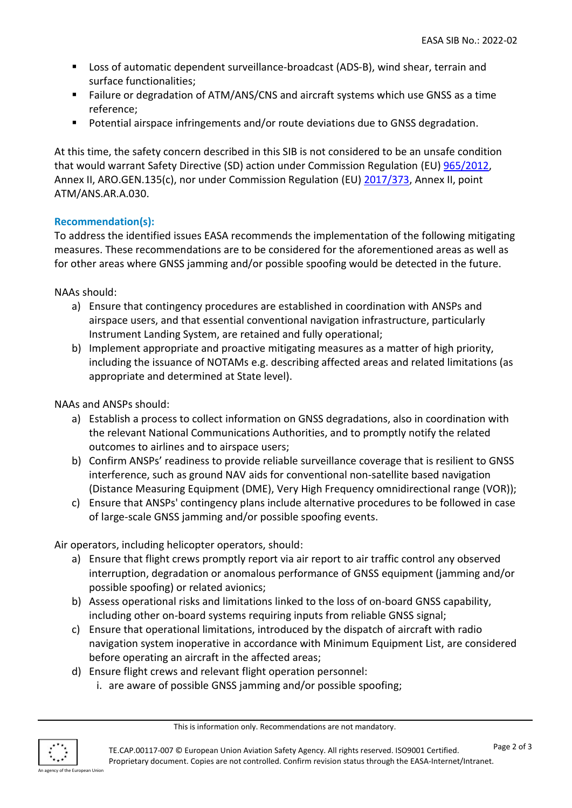- Loss of automatic dependent surveillance-broadcast (ADS-B), wind shear, terrain and surface functionalities;
- Failure or degradation of ATM/ANS/CNS and aircraft systems which use GNSS as a time reference;
- Potential airspace infringements and/or route deviations due to GNSS degradation.

At this time, the safety concern described in this SIB is not considered to be an unsafe condition that would warrant Safety Directive (SD) action under Commission Regulation (EU) [965/2012,](https://eur-lex.europa.eu/eli/reg/2012/965/2014-02-17) Annex II, ARO.GEN.135(c), nor under Commission Regulation (EU) [2017/373,](https://eur-lex.europa.eu/legal-content/EN/TXT/?uri=CELEX%3A32017R0373) Annex II, point ATM/ANS.AR.A.030.

## **Recommendation(s):**

To address the identified issues EASA recommends the implementation of the following mitigating measures. These recommendations are to be considered for the aforementioned areas as well as for other areas where GNSS jamming and/or possible spoofing would be detected in the future.

NAAs should:

- a) Ensure that contingency procedures are established in coordination with ANSPs and airspace users, and that essential conventional navigation infrastructure, particularly Instrument Landing System, are retained and fully operational;
- b) Implement appropriate and proactive mitigating measures as a matter of high priority, including the issuance of NOTAMs e.g. describing affected areas and related limitations (as appropriate and determined at State level).

NAAs and ANSPs should:

- a) Establish a process to collect information on GNSS degradations, also in coordination with the relevant National Communications Authorities, and to promptly notify the related outcomes to airlines and to airspace users;
- b) Confirm ANSPs' readiness to provide reliable surveillance coverage that is resilient to GNSS interference, such as ground NAV aids for conventional non-satellite based navigation (Distance Measuring Equipment (DME), Very High Frequency omnidirectional range (VOR));
- c) Ensure that ANSPs' contingency plans include alternative procedures to be followed in case of large-scale GNSS jamming and/or possible spoofing events.

Air operators, including helicopter operators, should:

- a) Ensure that flight crews promptly report via air report to air traffic control any observed interruption, degradation or anomalous performance of GNSS equipment (jamming and/or possible spoofing) or related avionics;
- b) Assess operational risks and limitations linked to the loss of on-board GNSS capability, including other on-board systems requiring inputs from reliable GNSS signal;
- c) Ensure that operational limitations, introduced by the dispatch of aircraft with radio navigation system inoperative in accordance with Minimum Equipment List, are considered before operating an aircraft in the affected areas;
- d) Ensure flight crews and relevant flight operation personnel:
	- i. are aware of possible GNSS jamming and/or possible spoofing;